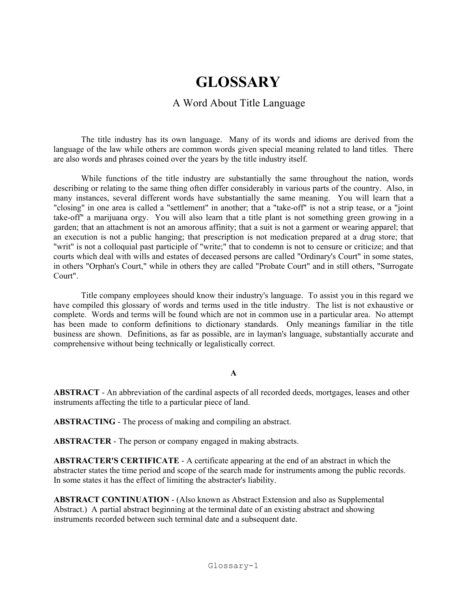# **GLOSSARY GLOSSARY GLOSSARY**

#### A Word About Title Language A Word About Title Language A Word About Title Language

The title industry has its own language. Many of its words and idioms are derived from the The title industry has its own language. Many of its words and idioms are derived from the language of the law while others are common words given special meaning related to land titles. There anguage of the law while others are common words given special meaning related to failer thres.<br>are also words and phrases coined over the years by the title industry itself. are also words and phrases coined over the years by the title industry

While functions of the title industry are substantially the same throughout the nation, words While functions of the title industry are substantially the same throughout the nation, words describing or relating to the same thing often differ considerably in various parts of the country. Also, in many instances, several different words have substantially the same meaning. You will learn that a "closing" in one area is called a "settlement" in another; that a "take-off" is not a strip tease, or a "joint" take-off" a marijuana orgy. You will also learn that a title plant is not something green growing in a garden; that an attachment is not an amorous affinity; that a suit is not a garment or wearing apparel; that an execution is not a public hanging; that prescription is not medication prepared at a drug store; that "writ" is not a colloquial past participle of "write;" that to condemn is not to censure or criticize; and that courts which deal with wills and estates of deceased persons are called "Ordinary's Court" in some states, in others "Orphan's Court," while in others they are called "Probate Court" and in still others, "Surrogate" Court". in others "Orphan's Court," while in others they are called "Probate Court" and in still others, "Surrogate Court".

Title company employees should know their industry's language. To assist you in this regard we Title company employees should know their industry's language. To assist you in this regard we have compiled this glossary of words and terms used in the title industry. The list is not exhaustive or complete. Words and terms will be found which are not in common use in a particular area. No attempt has been made to conform definitions to dictionary standards. Only meanings familiar in the title business are shown. Definitions, as far as possible, are in layman's language, substantially accurate and comprehensive without being technically or legalistically correct. comprehensive without being technically or regulations  $\mathbf{c}$ 

#### **A**

**ABSTRACT** - An abbreviation of the cardinal aspects of all recorded deeds, mortgages, leases and other **ABSTRACT** - An abbreviation of the cardinal aspects of all recorded deeds, mortgages, leases and other instruments affecting the title to a particular piece of land. instruments affecting the title to a particular piece of land.

**ABSTRACTING** - The process of making and compiling an abstract. **ABSTRACTING** - The process of making and compiling an abstract. **ABSTRACTING** - The process of making and compiling an abstract.

**ABSTRACTER** - The person or company engaged in making abstracts. **ABSTRACTER** - The person or company engaged in making abstracts. **ABSTRACTER** - The person or company engaged in making abstracts.

**ABSTRACTER'S CERTIFICATE** - A certificate appearing at the end of an abstract in which the **ABSTRACTER'S CERTIFICATE** - A certificate appearing at the end of an abstract in which the abstracter states the time period and scope of the search made for instruments among the public records. In some states it has the effect of limiting the abstracter's liability. In some states it has the effect of limiting the abstracter's lit

**ABSTRACT CONTINUATION** - (Also known as Abstract Extension and also as Supplemental **ABSTRACT CONTINUATION** - (Also known as Abstract Extension and also as Supplemental Abstract.) A partial abstract beginning at the terminal date of an existing abstract and showing instruments recorded between such terminal date and a subsequent date. instruments recorded between such terminal date and a subsequent date.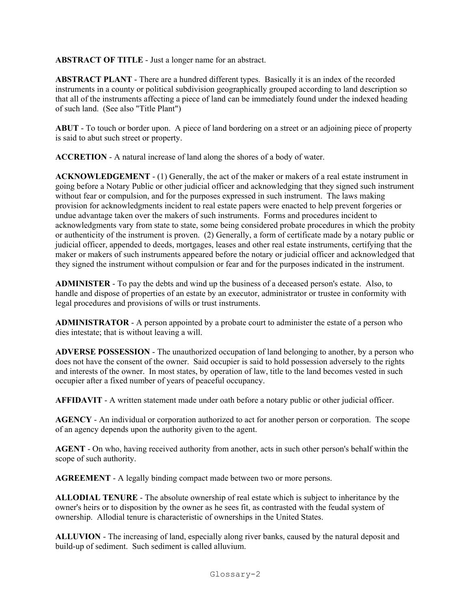**ABSTRACT OF TITLE** - Just a longer name for an abstract.

**ABSTRACT PLANT** - There are a hundred different types. Basically it is an index of the recorded instruments in a county or political subdivision geographically grouped according to land description so that all of the instruments affecting a piece of land can be immediately found under the indexed heading of such land. (See also "Title Plant")

**ABUT** - To touch or border upon. A piece of land bordering on a street or an adjoining piece of property is said to abut such street or property.

**ACCRETION** - A natural increase of land along the shores of a body of water.

**ACKNOWLEDGEMENT** - (1) Generally, the act of the maker or makers of a real estate instrument in going before a Notary Public or other judicial officer and acknowledging that they signed such instrument without fear or compulsion, and for the purposes expressed in such instrument. The laws making provision for acknowledgments incident to real estate papers were enacted to help prevent forgeries or undue advantage taken over the makers of such instruments. Forms and procedures incident to acknowledgments vary from state to state, some being considered probate procedures in which the probity or authenticity of the instrument is proven. (2) Generally, a form of certificate made by a notary public or judicial officer, appended to deeds, mortgages, leases and other real estate instruments, certifying that the maker or makers of such instruments appeared before the notary or judicial officer and acknowledged that they signed the instrument without compulsion or fear and for the purposes indicated in the instrument.

**ADMINISTER** - To pay the debts and wind up the business of a deceased person's estate. Also, to handle and dispose of properties of an estate by an executor, administrator or trustee in conformity with legal procedures and provisions of wills or trust instruments.

**ADMINISTRATOR** - A person appointed by a probate court to administer the estate of a person who dies intestate; that is without leaving a will.

**ADVERSE POSSESSION** - The unauthorized occupation of land belonging to another, by a person who does not have the consent of the owner. Said occupier is said to hold possession adversely to the rights and interests of the owner. In most states, by operation of law, title to the land becomes vested in such occupier after a fixed number of years of peaceful occupancy.

**AFFIDAVIT** - A written statement made under oath before a notary public or other judicial officer.

**AGENCY** - An individual or corporation authorized to act for another person or corporation. The scope of an agency depends upon the authority given to the agent.

**AGENT** - On who, having received authority from another, acts in such other person's behalf within the scope of such authority.

**AGREEMENT** - A legally binding compact made between two or more persons.

**ALLODIAL TENURE** - The absolute ownership of real estate which is subject to inheritance by the owner's heirs or to disposition by the owner as he sees fit, as contrasted with the feudal system of ownership. Allodial tenure is characteristic of ownerships in the United States.

**ALLUVION** - The increasing of land, especially along river banks, caused by the natural deposit and build-up of sediment. Such sediment is called alluvium.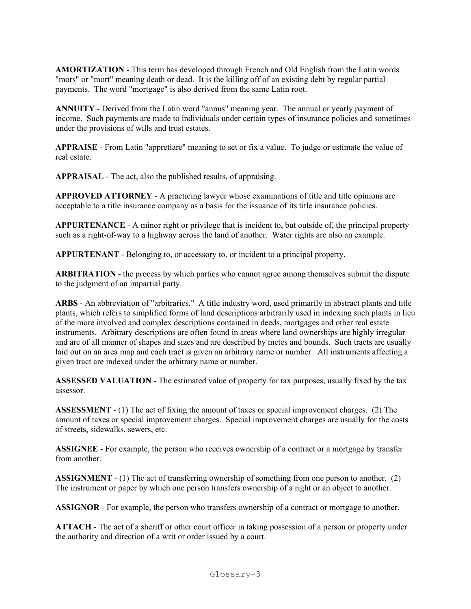**AMORTIZATION** - This term has developed through French and Old English from the Latin words "mors" or "mort" meaning death or dead. It is the killing off of an existing debt by regular partial payments. The word "mortgage" is also derived from the same Latin root.

**ANNUITY** - Derived from the Latin word "annus" meaning year. The annual or yearly payment of income. Such payments are made to individuals under certain types of insurance policies and sometimes under the provisions of wills and trust estates.

**APPRAISE** - From Latin "appretiare" meaning to set or fix a value. To judge or estimate the value of real estate.

**APPRAISAL** - The act, also the published results, of appraising.

**APPROVED ATTORNEY** - A practicing lawyer whose examinations of title and title opinions are acceptable to a title insurance company as a basis for the issuance of its title insurance policies.

**APPURTENANCE** - A minor right or privilege that is incident to, but outside of, the principal property such as a right-of-way to a highway across the land of another. Water rights are also an example.

**APPURTENANT** - Belonging to, or accessory to, or incident to a principal property.

**ARBITRATION** - the process by which parties who cannot agree among themselves submit the dispute to the judgment of an impartial party.

**ARBS** - An abbreviation of "arbitraries." A title industry word, used primarily in abstract plants and title plants, which refers to simplified forms of land descriptions arbitrarily used in indexing such plants in lieu of the more involved and complex descriptions contained in deeds, mortgages and other real estate instruments. Arbitrary descriptions are often found in areas where land ownerships are highly irregular and are of all manner of shapes and sizes and are described by metes and bounds. Such tracts are usually laid out on an area map and each tract is given an arbitrary name or number. All instruments affecting a given tract are indexed under the arbitrary name or number.

**ASSESSED VALUATION** - The estimated value of property for tax purposes, usually fixed by the tax assessor.

**ASSESSMENT** - (1) The act of fixing the amount of taxes or special improvement charges. (2) The amount of taxes or special improvement charges. Special improvement charges are usually for the costs of streets, sidewalks, sewers, etc.

**ASSIGNEE** - For example, the person who receives ownership of a contract or a mortgage by transfer from another.

**ASSIGNMENT** - (1) The act of transferring ownership of something from one person to another. (2) The instrument or paper by which one person transfers ownership of a right or an object to another.

**ASSIGNOR** - For example, the person who transfers ownership of a contract or mortgage to another.

**ATTACH** - The act of a sheriff or other court officer in taking possession of a person or property under the authority and direction of a writ or order issued by a court.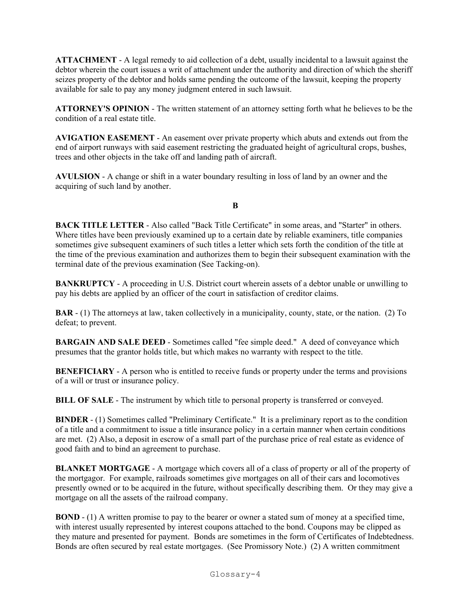**ATTACHMENT** - A legal remedy to aid collection of a debt, usually incidental to a lawsuit against the debtor wherein the court issues a writ of attachment under the authority and direction of which the sheriff seizes property of the debtor and holds same pending the outcome of the lawsuit, keeping the property available for sale to pay any money judgment entered in such lawsuit.

**ATTORNEY'S OPINION** - The written statement of an attorney setting forth what he believes to be the condition of a real estate title.

**AVIGATION EASEMENT** - An easement over private property which abuts and extends out from the end of airport runways with said easement restricting the graduated height of agricultural crops, bushes, trees and other objects in the take off and landing path of aircraft.

**AVULSION** - A change or shift in a water boundary resulting in loss of land by an owner and the acquiring of such land by another.

#### **B**

**BACK TITLE LETTER** - Also called "Back Title Certificate" in some areas, and "Starter" in others. Where titles have been previously examined up to a certain date by reliable examiners, title companies sometimes give subsequent examiners of such titles a letter which sets forth the condition of the title at the time of the previous examination and authorizes them to begin their subsequent examination with the terminal date of the previous examination (See Tacking-on).

**BANKRUPTCY** - A proceeding in U.S. District court wherein assets of a debtor unable or unwilling to pay his debts are applied by an officer of the court in satisfaction of creditor claims.

**BAR** - (1) The attorneys at law, taken collectively in a municipality, county, state, or the nation. (2) To defeat; to prevent.

**BARGAIN AND SALE DEED** - Sometimes called "fee simple deed." A deed of conveyance which presumes that the grantor holds title, but which makes no warranty with respect to the title.

**BENEFICIARY** - A person who is entitled to receive funds or property under the terms and provisions of a will or trust or insurance policy.

**BILL OF SALE** - The instrument by which title to personal property is transferred or conveyed.

**BINDER** - (1) Sometimes called "Preliminary Certificate." It is a preliminary report as to the condition of a title and a commitment to issue a title insurance policy in a certain manner when certain conditions are met. (2) Also, a deposit in escrow of a small part of the purchase price of real estate as evidence of good faith and to bind an agreement to purchase.

**BLANKET MORTGAGE** - A mortgage which covers all of a class of property or all of the property of the mortgagor. For example, railroads sometimes give mortgages on all of their cars and locomotives presently owned or to be acquired in the future, without specifically describing them. Or they may give a mortgage on all the assets of the railroad company.

**BOND** - (1) A written promise to pay to the bearer or owner a stated sum of money at a specified time, with interest usually represented by interest coupons attached to the bond. Coupons may be clipped as they mature and presented for payment. Bonds are sometimes in the form of Certificates of Indebtedness. Bonds are often secured by real estate mortgages. (See Promissory Note.) (2) A written commitment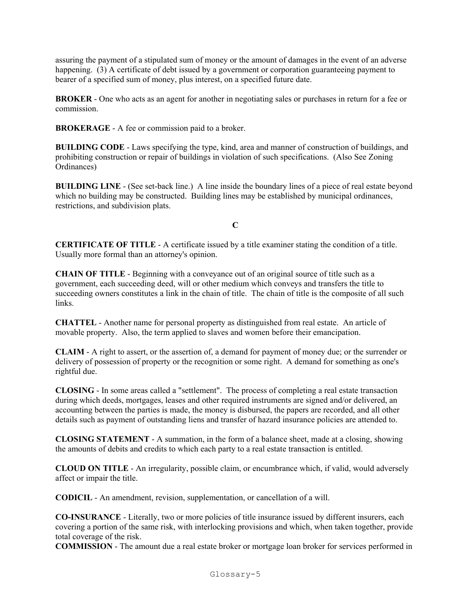assuring the payment of a stipulated sum of money or the amount of damages in the event of an adverse happening. (3) A certificate of debt issued by a government or corporation guaranteeing payment to bearer of a specified sum of money, plus interest, on a specified future date.

**BROKER** - One who acts as an agent for another in negotiating sales or purchases in return for a fee or commission.

**BROKERAGE** - A fee or commission paid to a broker.

**BUILDING CODE** - Laws specifying the type, kind, area and manner of construction of buildings, and prohibiting construction or repair of buildings in violation of such specifications. (Also See Zoning Ordinances)

**BUILDING LINE** - (See set-back line.) A line inside the boundary lines of a piece of real estate beyond which no building may be constructed. Building lines may be established by municipal ordinances, restrictions, and subdivision plats.

**C**

**CERTIFICATE OF TITLE** - A certificate issued by a title examiner stating the condition of a title. Usually more formal than an attorney's opinion.

**CHAIN OF TITLE** - Beginning with a conveyance out of an original source of title such as a government, each succeeding deed, will or other medium which conveys and transfers the title to succeeding owners constitutes a link in the chain of title. The chain of title is the composite of all such links.

**CHATTEL** - Another name for personal property as distinguished from real estate. An article of movable property. Also, the term applied to slaves and women before their emancipation.

**CLAIM** - A right to assert, or the assertion of, a demand for payment of money due; or the surrender or delivery of possession of property or the recognition or some right. A demand for something as one's rightful due.

**CLOSING** - In some areas called a "settlement". The process of completing a real estate transaction during which deeds, mortgages, leases and other required instruments are signed and/or delivered, an accounting between the parties is made, the money is disbursed, the papers are recorded, and all other details such as payment of outstanding liens and transfer of hazard insurance policies are attended to.

**CLOSING STATEMENT** - A summation, in the form of a balance sheet, made at a closing, showing the amounts of debits and credits to which each party to a real estate transaction is entitled.

**CLOUD ON TITLE** - An irregularity, possible claim, or encumbrance which, if valid, would adversely affect or impair the title.

**CODICIL** - An amendment, revision, supplementation, or cancellation of a will.

**CO-INSURANCE** - Literally, two or more policies of title insurance issued by different insurers, each covering a portion of the same risk, with interlocking provisions and which, when taken together, provide total coverage of the risk.

**COMMISSION** - The amount due a real estate broker or mortgage loan broker for services performed in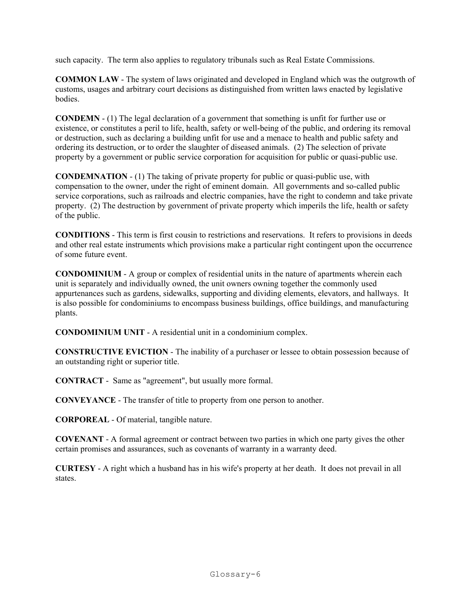such capacity. The term also applies to regulatory tribunals such as Real Estate Commissions.

**COMMON LAW** - The system of laws originated and developed in England which was the outgrowth of customs, usages and arbitrary court decisions as distinguished from written laws enacted by legislative bodies.

**CONDEMN** - (1) The legal declaration of a government that something is unfit for further use or existence, or constitutes a peril to life, health, safety or well-being of the public, and ordering its removal or destruction, such as declaring a building unfit for use and a menace to health and public safety and ordering its destruction, or to order the slaughter of diseased animals. (2) The selection of private property by a government or public service corporation for acquisition for public or quasi-public use.

**CONDEMNATION** - (1) The taking of private property for public or quasi-public use, with compensation to the owner, under the right of eminent domain. All governments and so-called public service corporations, such as railroads and electric companies, have the right to condemn and take private property. (2) The destruction by government of private property which imperils the life, health or safety of the public.

**CONDITIONS** - This term is first cousin to restrictions and reservations. It refers to provisions in deeds and other real estate instruments which provisions make a particular right contingent upon the occurrence of some future event.

**CONDOMINIUM** - A group or complex of residential units in the nature of apartments wherein each unit is separately and individually owned, the unit owners owning together the commonly used appurtenances such as gardens, sidewalks, supporting and dividing elements, elevators, and hallways. It is also possible for condominiums to encompass business buildings, office buildings, and manufacturing plants.

**CONDOMINIUM UNIT** - A residential unit in a condominium complex.

**CONSTRUCTIVE EVICTION** - The inability of a purchaser or lessee to obtain possession because of an outstanding right or superior title.

**CONTRACT** - Same as "agreement", but usually more formal.

**CONVEYANCE** - The transfer of title to property from one person to another.

**CORPOREAL** - Of material, tangible nature.

**COVENANT** - A formal agreement or contract between two parties in which one party gives the other certain promises and assurances, such as covenants of warranty in a warranty deed.

**CURTESY** - A right which a husband has in his wife's property at her death. It does not prevail in all states.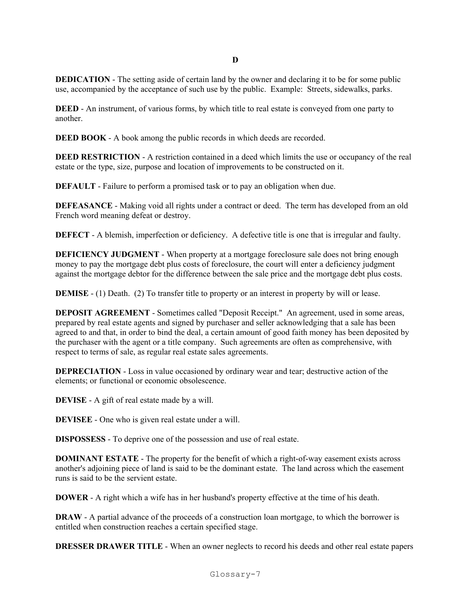**DEDICATION** - The setting aside of certain land by the owner and declaring it to be for some public use, accompanied by the acceptance of such use by the public. Example: Streets, sidewalks, parks.

**DEED** - An instrument, of various forms, by which title to real estate is conveyed from one party to another.

**DEED BOOK** - A book among the public records in which deeds are recorded.

**DEED RESTRICTION** - A restriction contained in a deed which limits the use or occupancy of the real estate or the type, size, purpose and location of improvements to be constructed on it.

**DEFAULT** - Failure to perform a promised task or to pay an obligation when due.

**DEFEASANCE** - Making void all rights under a contract or deed. The term has developed from an old French word meaning defeat or destroy.

**DEFECT** - A blemish, imperfection or deficiency. A defective title is one that is irregular and faulty.

**DEFICIENCY JUDGMENT** - When property at a mortgage foreclosure sale does not bring enough money to pay the mortgage debt plus costs of foreclosure, the court will enter a deficiency judgment against the mortgage debtor for the difference between the sale price and the mortgage debt plus costs.

**DEMISE** - (1) Death. (2) To transfer title to property or an interest in property by will or lease.

**DEPOSIT AGREEMENT** - Sometimes called "Deposit Receipt." An agreement, used in some areas, prepared by real estate agents and signed by purchaser and seller acknowledging that a sale has been agreed to and that, in order to bind the deal, a certain amount of good faith money has been deposited by the purchaser with the agent or a title company. Such agreements are often as comprehensive, with respect to terms of sale, as regular real estate sales agreements.

**DEPRECIATION** - Loss in value occasioned by ordinary wear and tear; destructive action of the elements; or functional or economic obsolescence.

**DEVISE** - A gift of real estate made by a will.

**DEVISEE** - One who is given real estate under a will.

**DISPOSSESS** - To deprive one of the possession and use of real estate.

**DOMINANT ESTATE** - The property for the benefit of which a right-of-way easement exists across another's adjoining piece of land is said to be the dominant estate. The land across which the easement runs is said to be the servient estate.

**DOWER** - A right which a wife has in her husband's property effective at the time of his death.

**DRAW** - A partial advance of the proceeds of a construction loan mortgage, to which the borrower is entitled when construction reaches a certain specified stage.

**DRESSER DRAWER TITLE** - When an owner neglects to record his deeds and other real estate papers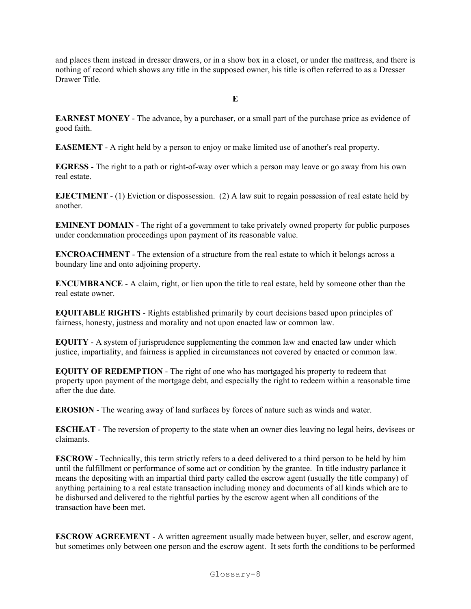and places them instead in dresser drawers, or in a show box in a closet, or under the mattress, and there is nothing of record which shows any title in the supposed owner, his title is often referred to as a Dresser Drawer Title.

**E**

**EARNEST MONEY** - The advance, by a purchaser, or a small part of the purchase price as evidence of good faith.

**EASEMENT** - A right held by a person to enjoy or make limited use of another's real property.

**EGRESS** - The right to a path or right-of-way over which a person may leave or go away from his own real estate.

**EJECTMENT** - (1) Eviction or dispossession. (2) A law suit to regain possession of real estate held by another.

**EMINENT DOMAIN** - The right of a government to take privately owned property for public purposes under condemnation proceedings upon payment of its reasonable value.

**ENCROACHMENT** - The extension of a structure from the real estate to which it belongs across a boundary line and onto adjoining property.

**ENCUMBRANCE** - A claim, right, or lien upon the title to real estate, held by someone other than the real estate owner.

**EQUITABLE RIGHTS** - Rights established primarily by court decisions based upon principles of fairness, honesty, justness and morality and not upon enacted law or common law.

**EQUITY** - A system of jurisprudence supplementing the common law and enacted law under which justice, impartiality, and fairness is applied in circumstances not covered by enacted or common law.

**EQUITY OF REDEMPTION** - The right of one who has mortgaged his property to redeem that property upon payment of the mortgage debt, and especially the right to redeem within a reasonable time after the due date.

**EROSION** - The wearing away of land surfaces by forces of nature such as winds and water.

**ESCHEAT** - The reversion of property to the state when an owner dies leaving no legal heirs, devisees or claimants.

**ESCROW** - Technically, this term strictly refers to a deed delivered to a third person to be held by him until the fulfillment or performance of some act or condition by the grantee. In title industry parlance it means the depositing with an impartial third party called the escrow agent (usually the title company) of anything pertaining to a real estate transaction including money and documents of all kinds which are to be disbursed and delivered to the rightful parties by the escrow agent when all conditions of the transaction have been met.

**ESCROW AGREEMENT** - A written agreement usually made between buyer, seller, and escrow agent, but sometimes only between one person and the escrow agent. It sets forth the conditions to be performed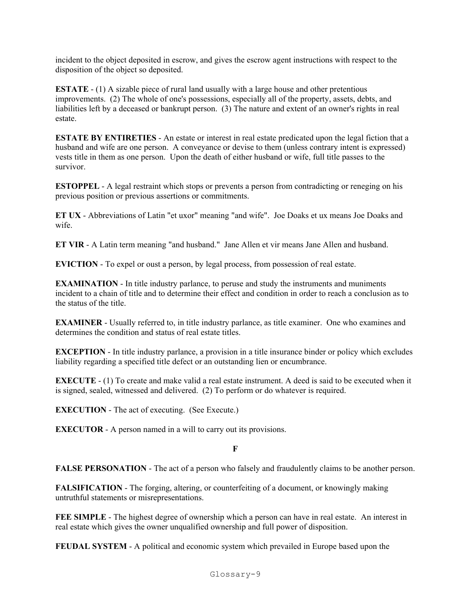incident to the object deposited in escrow, and gives the escrow agent instructions with respect to the disposition of the object so deposited.

**ESTATE** - (1) A sizable piece of rural land usually with a large house and other pretentious improvements. (2) The whole of one's possessions, especially all of the property, assets, debts, and liabilities left by a deceased or bankrupt person. (3) The nature and extent of an owner's rights in real estate.

**ESTATE BY ENTIRETIES** - An estate or interest in real estate predicated upon the legal fiction that a husband and wife are one person. A conveyance or devise to them (unless contrary intent is expressed) vests title in them as one person. Upon the death of either husband or wife, full title passes to the survivor.

**ESTOPPEL** - A legal restraint which stops or prevents a person from contradicting or reneging on his previous position or previous assertions or commitments.

**ET UX** - Abbreviations of Latin "et uxor" meaning "and wife". Joe Doaks et ux means Joe Doaks and wife.

**ET VIR** - A Latin term meaning "and husband." Jane Allen et vir means Jane Allen and husband.

**EVICTION** - To expel or oust a person, by legal process, from possession of real estate.

**EXAMINATION** - In title industry parlance, to peruse and study the instruments and muniments incident to a chain of title and to determine their effect and condition in order to reach a conclusion as to the status of the title.

**EXAMINER** - Usually referred to, in title industry parlance, as title examiner. One who examines and determines the condition and status of real estate titles.

**EXCEPTION** - In title industry parlance, a provision in a title insurance binder or policy which excludes liability regarding a specified title defect or an outstanding lien or encumbrance.

**EXECUTE** - (1) To create and make valid a real estate instrument. A deed is said to be executed when it is signed, sealed, witnessed and delivered. (2) To perform or do whatever is required.

**EXECUTION** - The act of executing. (See Execute.)

**EXECUTOR** - A person named in a will to carry out its provisions.

**F**

**FALSE PERSONATION** - The act of a person who falsely and fraudulently claims to be another person.

**FALSIFICATION** - The forging, altering, or counterfeiting of a document, or knowingly making untruthful statements or misrepresentations.

**FEE SIMPLE** - The highest degree of ownership which a person can have in real estate. An interest in real estate which gives the owner unqualified ownership and full power of disposition.

**FEUDAL SYSTEM** - A political and economic system which prevailed in Europe based upon the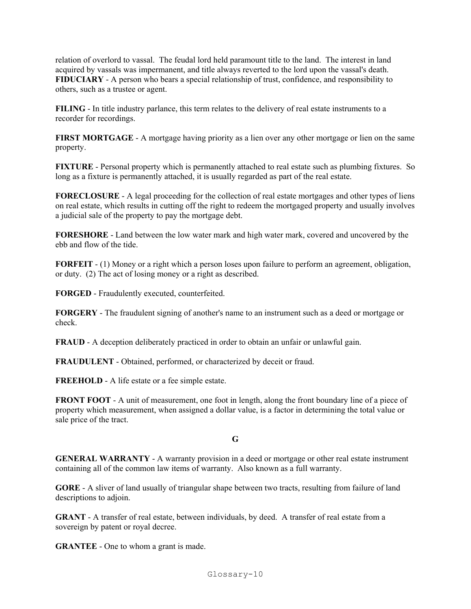relation of overlord to vassal. The feudal lord held paramount title to the land. The interest in land acquired by vassals was impermanent, and title always reverted to the lord upon the vassal's death. **FIDUCIARY** - A person who bears a special relationship of trust, confidence, and responsibility to others, such as a trustee or agent.

**FILING** - In title industry parlance, this term relates to the delivery of real estate instruments to a recorder for recordings.

**FIRST MORTGAGE** - A mortgage having priority as a lien over any other mortgage or lien on the same property.

**FIXTURE** - Personal property which is permanently attached to real estate such as plumbing fixtures. So long as a fixture is permanently attached, it is usually regarded as part of the real estate.

**FORECLOSURE** - A legal proceeding for the collection of real estate mortgages and other types of liens on real estate, which results in cutting off the right to redeem the mortgaged property and usually involves a judicial sale of the property to pay the mortgage debt.

**FORESHORE** - Land between the low water mark and high water mark, covered and uncovered by the ebb and flow of the tide.

**FORFEIT** - (1) Money or a right which a person loses upon failure to perform an agreement, obligation, or duty. (2) The act of losing money or a right as described.

**FORGED** - Fraudulently executed, counterfeited.

**FORGERY** - The fraudulent signing of another's name to an instrument such as a deed or mortgage or check.

**FRAUD** - A deception deliberately practiced in order to obtain an unfair or unlawful gain.

**FRAUDULENT** - Obtained, performed, or characterized by deceit or fraud.

**FREEHOLD** - A life estate or a fee simple estate.

**FRONT FOOT** - A unit of measurement, one foot in length, along the front boundary line of a piece of property which measurement, when assigned a dollar value, is a factor in determining the total value or sale price of the tract.

**G**

**GENERAL WARRANTY** - A warranty provision in a deed or mortgage or other real estate instrument containing all of the common law items of warranty. Also known as a full warranty.

**GORE** - A sliver of land usually of triangular shape between two tracts, resulting from failure of land descriptions to adjoin.

**GRANT** - A transfer of real estate, between individuals, by deed. A transfer of real estate from a sovereign by patent or royal decree.

**GRANTEE** - One to whom a grant is made.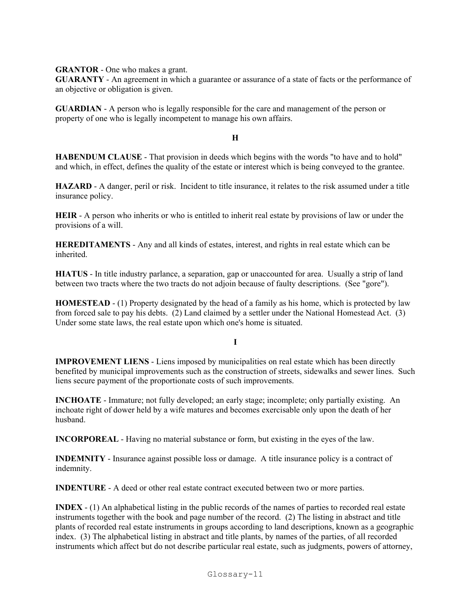**GRANTOR** - One who makes a grant.

**GUARANTY** - An agreement in which a guarantee or assurance of a state of facts or the performance of an objective or obligation is given.

**GUARDIAN** - A person who is legally responsible for the care and management of the person or property of one who is legally incompetent to manage his own affairs.

#### **H**

**HABENDUM CLAUSE** - That provision in deeds which begins with the words "to have and to hold" and which, in effect, defines the quality of the estate or interest which is being conveyed to the grantee.

**HAZARD** - A danger, peril or risk. Incident to title insurance, it relates to the risk assumed under a title insurance policy.

**HEIR** - A person who inherits or who is entitled to inherit real estate by provisions of law or under the provisions of a will.

**HEREDITAMENTS** - Any and all kinds of estates, interest, and rights in real estate which can be inherited.

**HIATUS** - In title industry parlance, a separation, gap or unaccounted for area. Usually a strip of land between two tracts where the two tracts do not adjoin because of faulty descriptions. (See "gore").

**HOMESTEAD** - (1) Property designated by the head of a family as his home, which is protected by law from forced sale to pay his debts. (2) Land claimed by a settler under the National Homestead Act. (3) Under some state laws, the real estate upon which one's home is situated.

**I**

**IMPROVEMENT LIENS** - Liens imposed by municipalities on real estate which has been directly benefited by municipal improvements such as the construction of streets, sidewalks and sewer lines. Such liens secure payment of the proportionate costs of such improvements.

**INCHOATE** - Immature; not fully developed; an early stage; incomplete; only partially existing. An inchoate right of dower held by a wife matures and becomes exercisable only upon the death of her husband.

**INCORPOREAL** - Having no material substance or form, but existing in the eyes of the law.

**INDEMNITY** - Insurance against possible loss or damage. A title insurance policy is a contract of indemnity.

**INDENTURE** - A deed or other real estate contract executed between two or more parties.

**INDEX** - (1) An alphabetical listing in the public records of the names of parties to recorded real estate instruments together with the book and page number of the record. (2) The listing in abstract and title plants of recorded real estate instruments in groups according to land descriptions, known as a geographic index. (3) The alphabetical listing in abstract and title plants, by names of the parties, of all recorded instruments which affect but do not describe particular real estate, such as judgments, powers of attorney,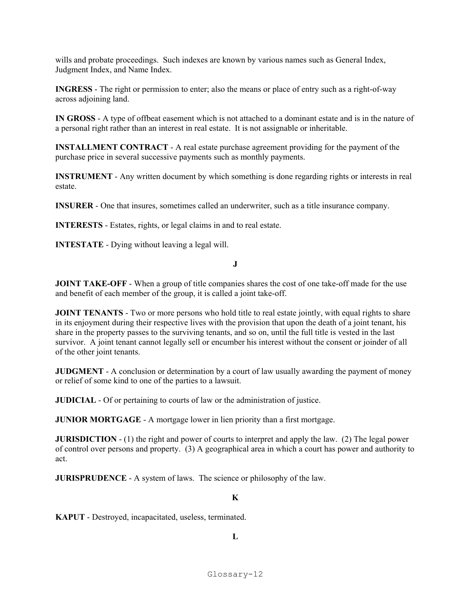wills and probate proceedings. Such indexes are known by various names such as General Index, Judgment Index, and Name Index.

**INGRESS** - The right or permission to enter; also the means or place of entry such as a right-of-way across adjoining land.

**IN GROSS** - A type of offbeat easement which is not attached to a dominant estate and is in the nature of a personal right rather than an interest in real estate. It is not assignable or inheritable.

**INSTALLMENT CONTRACT** - A real estate purchase agreement providing for the payment of the purchase price in several successive payments such as monthly payments.

**INSTRUMENT** - Any written document by which something is done regarding rights or interests in real estate.

**INSURER** - One that insures, sometimes called an underwriter, such as a title insurance company.

**INTERESTS** - Estates, rights, or legal claims in and to real estate.

**INTESTATE** - Dying without leaving a legal will.

**J**

**JOINT TAKE-OFF** - When a group of title companies shares the cost of one take-off made for the use and benefit of each member of the group, it is called a joint take-off.

**JOINT TENANTS** - Two or more persons who hold title to real estate jointly, with equal rights to share in its enjoyment during their respective lives with the provision that upon the death of a joint tenant, his share in the property passes to the surviving tenants, and so on, until the full title is vested in the last survivor. A joint tenant cannot legally sell or encumber his interest without the consent or joinder of all of the other joint tenants.

**JUDGMENT** - A conclusion or determination by a court of law usually awarding the payment of money or relief of some kind to one of the parties to a lawsuit.

**JUDICIAL** - Of or pertaining to courts of law or the administration of justice.

**JUNIOR MORTGAGE** - A mortgage lower in lien priority than a first mortgage.

**JURISDICTION** - (1) the right and power of courts to interpret and apply the law. (2) The legal power of control over persons and property. (3) A geographical area in which a court has power and authority to act.

**JURISPRUDENCE** - A system of laws. The science or philosophy of the law.

#### **K**

**KAPUT** - Destroyed, incapacitated, useless, terminated.

**L**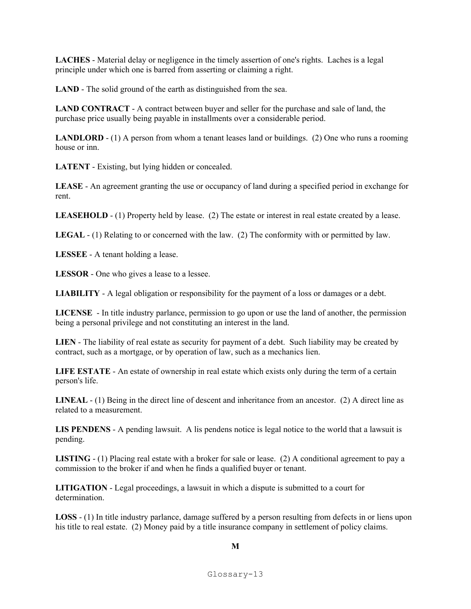**LACHES** - Material delay or negligence in the timely assertion of one's rights. Laches is a legal principle under which one is barred from asserting or claiming a right.

LAND - The solid ground of the earth as distinguished from the sea.

**LAND CONTRACT** - A contract between buyer and seller for the purchase and sale of land, the purchase price usually being payable in installments over a considerable period.

**LANDLORD** - (1) A person from whom a tenant leases land or buildings. (2) One who runs a rooming house or inn.

**LATENT** - Existing, but lying hidden or concealed.

**LEASE** - An agreement granting the use or occupancy of land during a specified period in exchange for rent.

**LEASEHOLD** - (1) Property held by lease. (2) The estate or interest in real estate created by a lease.

**LEGAL** - (1) Relating to or concerned with the law. (2) The conformity with or permitted by law.

**LESSEE** - A tenant holding a lease.

**LESSOR** - One who gives a lease to a lessee.

**LIABILITY** - A legal obligation or responsibility for the payment of a loss or damages or a debt.

**LICENSE** - In title industry parlance, permission to go upon or use the land of another, the permission being a personal privilege and not constituting an interest in the land.

**LIEN** - The liability of real estate as security for payment of a debt. Such liability may be created by contract, such as a mortgage, or by operation of law, such as a mechanics lien.

**LIFE ESTATE** - An estate of ownership in real estate which exists only during the term of a certain person's life.

**LINEAL** - (1) Being in the direct line of descent and inheritance from an ancestor. (2) A direct line as related to a measurement.

**LIS PENDENS** - A pending lawsuit. A lis pendens notice is legal notice to the world that a lawsuit is pending.

**LISTING** - (1) Placing real estate with a broker for sale or lease. (2) A conditional agreement to pay a commission to the broker if and when he finds a qualified buyer or tenant.

**LITIGATION** - Legal proceedings, a lawsuit in which a dispute is submitted to a court for determination.

**LOSS** - (1) In title industry parlance, damage suffered by a person resulting from defects in or liens upon his title to real estate. (2) Money paid by a title insurance company in settlement of policy claims.

 **M**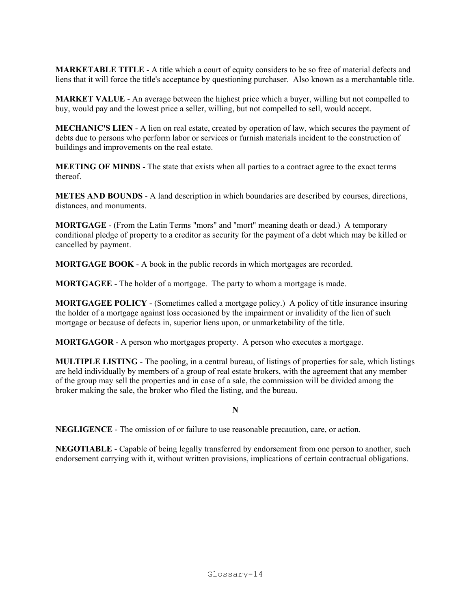**MARKETABLE TITLE** - A title which a court of equity considers to be so free of material defects and liens that it will force the title's acceptance by questioning purchaser. Also known as a merchantable title.

**MARKET VALUE** - An average between the highest price which a buyer, willing but not compelled to buy, would pay and the lowest price a seller, willing, but not compelled to sell, would accept.

**MECHANIC'S LIEN** - A lien on real estate, created by operation of law, which secures the payment of debts due to persons who perform labor or services or furnish materials incident to the construction of buildings and improvements on the real estate.

**MEETING OF MINDS** - The state that exists when all parties to a contract agree to the exact terms thereof.

**METES AND BOUNDS** - A land description in which boundaries are described by courses, directions, distances, and monuments.

**MORTGAGE** - (From the Latin Terms "mors" and "mort" meaning death or dead.) A temporary conditional pledge of property to a creditor as security for the payment of a debt which may be killed or cancelled by payment.

**MORTGAGE BOOK** - A book in the public records in which mortgages are recorded.

**MORTGAGEE** - The holder of a mortgage. The party to whom a mortgage is made.

**MORTGAGEE POLICY** - (Sometimes called a mortgage policy.) A policy of title insurance insuring the holder of a mortgage against loss occasioned by the impairment or invalidity of the lien of such mortgage or because of defects in, superior liens upon, or unmarketability of the title.

**MORTGAGOR** - A person who mortgages property. A person who executes a mortgage.

**MULTIPLE LISTING** - The pooling, in a central bureau, of listings of properties for sale, which listings are held individually by members of a group of real estate brokers, with the agreement that any member of the group may sell the properties and in case of a sale, the commission will be divided among the broker making the sale, the broker who filed the listing, and the bureau.

**N**

**NEGLIGENCE** - The omission of or failure to use reasonable precaution, care, or action.

**NEGOTIABLE** - Capable of being legally transferred by endorsement from one person to another, such endorsement carrying with it, without written provisions, implications of certain contractual obligations.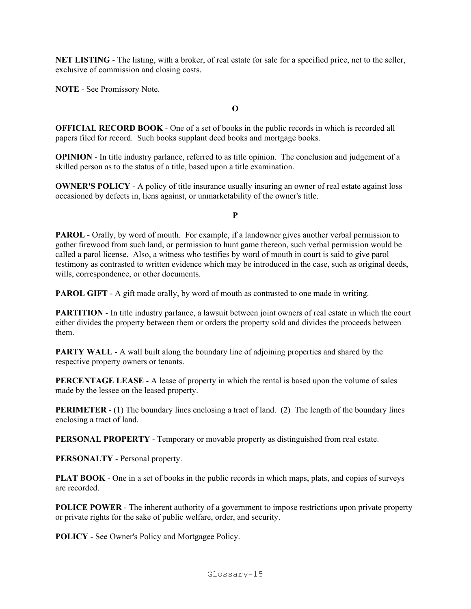**NET LISTING** - The listing, with a broker, of real estate for sale for a specified price, net to the seller, exclusive of commission and closing costs.

**NOTE** - See Promissory Note.

**O**

**OFFICIAL RECORD BOOK** - One of a set of books in the public records in which is recorded all papers filed for record. Such books supplant deed books and mortgage books.

**OPINION** - In title industry parlance, referred to as title opinion. The conclusion and judgement of a skilled person as to the status of a title, based upon a title examination.

**OWNER'S POLICY** - A policy of title insurance usually insuring an owner of real estate against loss occasioned by defects in, liens against, or unmarketability of the owner's title.

**P**

**PAROL** - Orally, by word of mouth. For example, if a landowner gives another verbal permission to gather firewood from such land, or permission to hunt game thereon, such verbal permission would be called a parol license. Also, a witness who testifies by word of mouth in court is said to give parol testimony as contrasted to written evidence which may be introduced in the case, such as original deeds, wills, correspondence, or other documents.

**PAROL GIFT** - A gift made orally, by word of mouth as contrasted to one made in writing.

**PARTITION** - In title industry parlance, a lawsuit between joint owners of real estate in which the court either divides the property between them or orders the property sold and divides the proceeds between them.

**PARTY WALL** - A wall built along the boundary line of adjoining properties and shared by the respective property owners or tenants.

**PERCENTAGE LEASE** - A lease of property in which the rental is based upon the volume of sales made by the lessee on the leased property.

**PERIMETER** - (1) The boundary lines enclosing a tract of land. (2) The length of the boundary lines enclosing a tract of land.

**PERSONAL PROPERTY** - Temporary or movable property as distinguished from real estate.

**PERSONALTY** - Personal property.

**PLAT BOOK** - One in a set of books in the public records in which maps, plats, and copies of surveys are recorded.

**POLICE POWER** - The inherent authority of a government to impose restrictions upon private property or private rights for the sake of public welfare, order, and security.

**POLICY** - See Owner's Policy and Mortgagee Policy.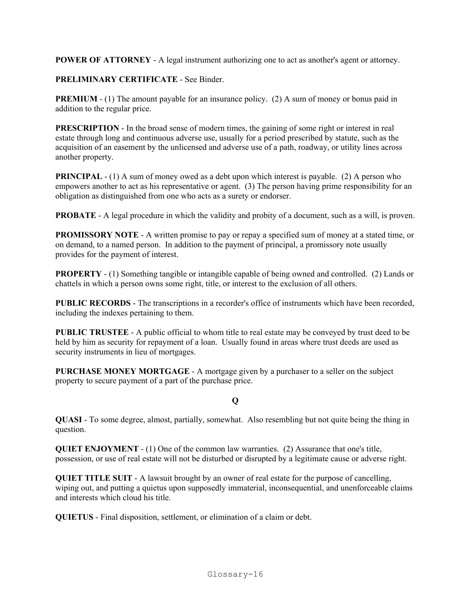**POWER OF ATTORNEY** - A legal instrument authorizing one to act as another's agent or attorney.

### **PRELIMINARY CERTIFICATE** - See Binder.

**PREMIUM** - (1) The amount payable for an insurance policy. (2) A sum of money or bonus paid in addition to the regular price.

**PRESCRIPTION** - In the broad sense of modern times, the gaining of some right or interest in real estate through long and continuous adverse use, usually for a period prescribed by statute, such as the acquisition of an easement by the unlicensed and adverse use of a path, roadway, or utility lines across another property.

**PRINCIPAL** - (1) A sum of money owed as a debt upon which interest is payable. (2) A person who empowers another to act as his representative or agent. (3) The person having prime responsibility for an obligation as distinguished from one who acts as a surety or endorser.

**PROBATE** - A legal procedure in which the validity and probity of a document, such as a will, is proven.

**PROMISSORY NOTE** - A written promise to pay or repay a specified sum of money at a stated time, or on demand, to a named person. In addition to the payment of principal, a promissory note usually provides for the payment of interest.

**PROPERTY** - (1) Something tangible or intangible capable of being owned and controlled. (2) Lands or chattels in which a person owns some right, title, or interest to the exclusion of all others.

**PUBLIC RECORDS** - The transcriptions in a recorder's office of instruments which have been recorded, including the indexes pertaining to them.

**PUBLIC TRUSTEE** - A public official to whom title to real estate may be conveyed by trust deed to be held by him as security for repayment of a loan. Usually found in areas where trust deeds are used as security instruments in lieu of mortgages.

**PURCHASE MONEY MORTGAGE** - A mortgage given by a purchaser to a seller on the subject property to secure payment of a part of the purchase price.

## **Q**

**QUASI** - To some degree, almost, partially, somewhat. Also resembling but not quite being the thing in question.

**QUIET ENJOYMENT** - (1) One of the common law warranties. (2) Assurance that one's title, possession, or use of real estate will not be disturbed or disrupted by a legitimate cause or adverse right.

**QUIET TITLE SUIT** - A lawsuit brought by an owner of real estate for the purpose of cancelling, wiping out, and putting a quietus upon supposedly immaterial, inconsequential, and unenforceable claims and interests which cloud his title.

**QUIETUS** - Final disposition, settlement, or elimination of a claim or debt.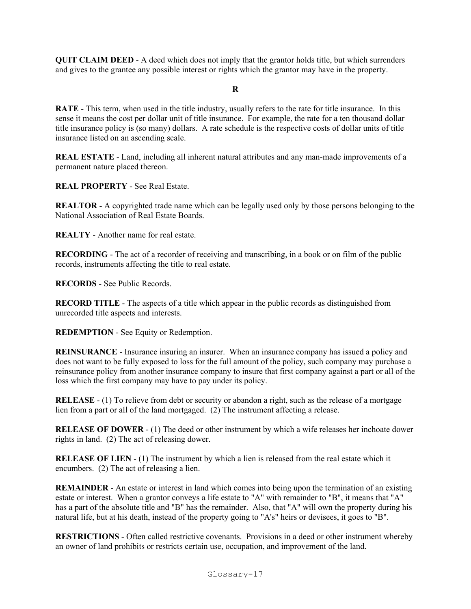**QUIT CLAIM DEED** - A deed which does not imply that the grantor holds title, but which surrenders and gives to the grantee any possible interest or rights which the grantor may have in the property.

#### **R**

**RATE** - This term, when used in the title industry, usually refers to the rate for title insurance. In this sense it means the cost per dollar unit of title insurance. For example, the rate for a ten thousand dollar title insurance policy is (so many) dollars. A rate schedule is the respective costs of dollar units of title insurance listed on an ascending scale.

**REAL ESTATE** - Land, including all inherent natural attributes and any man-made improvements of a permanent nature placed thereon.

**REAL PROPERTY** - See Real Estate.

**REALTOR** - A copyrighted trade name which can be legally used only by those persons belonging to the National Association of Real Estate Boards.

**REALTY** - Another name for real estate.

**RECORDING** - The act of a recorder of receiving and transcribing, in a book or on film of the public records, instruments affecting the title to real estate.

**RECORDS** - See Public Records.

**RECORD TITLE** - The aspects of a title which appear in the public records as distinguished from unrecorded title aspects and interests.

**REDEMPTION** - See Equity or Redemption.

**REINSURANCE** - Insurance insuring an insurer. When an insurance company has issued a policy and does not want to be fully exposed to loss for the full amount of the policy, such company may purchase a reinsurance policy from another insurance company to insure that first company against a part or all of the loss which the first company may have to pay under its policy.

**RELEASE** - (1) To relieve from debt or security or abandon a right, such as the release of a mortgage lien from a part or all of the land mortgaged. (2) The instrument affecting a release.

**RELEASE OF DOWER** - (1) The deed or other instrument by which a wife releases her inchoate dower rights in land. (2) The act of releasing dower.

**RELEASE OF LIEN** - (1) The instrument by which a lien is released from the real estate which it encumbers. (2) The act of releasing a lien.

**REMAINDER** - An estate or interest in land which comes into being upon the termination of an existing estate or interest. When a grantor conveys a life estate to "A" with remainder to "B", it means that "A" has a part of the absolute title and "B" has the remainder. Also, that "A" will own the property during his natural life, but at his death, instead of the property going to "A's" heirs or devisees, it goes to "B".

**RESTRICTIONS** - Often called restrictive covenants. Provisions in a deed or other instrument whereby an owner of land prohibits or restricts certain use, occupation, and improvement of the land.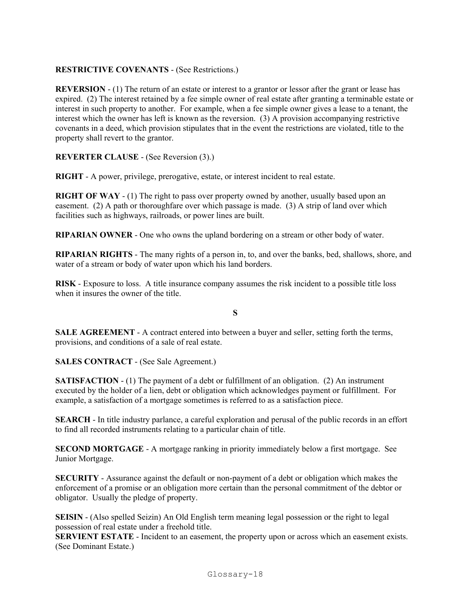## **RESTRICTIVE COVENANTS** - (See Restrictions.)

**REVERSION** - (1) The return of an estate or interest to a grantor or lessor after the grant or lease has expired. (2) The interest retained by a fee simple owner of real estate after granting a terminable estate or interest in such property to another. For example, when a fee simple owner gives a lease to a tenant, the interest which the owner has left is known as the reversion. (3) A provision accompanying restrictive covenants in a deed, which provision stipulates that in the event the restrictions are violated, title to the property shall revert to the grantor.

### **REVERTER CLAUSE** - (See Reversion (3).)

**RIGHT** - A power, privilege, prerogative, estate, or interest incident to real estate.

**RIGHT OF WAY** - (1) The right to pass over property owned by another, usually based upon an easement. (2) A path or thoroughfare over which passage is made. (3) A strip of land over which facilities such as highways, railroads, or power lines are built.

**RIPARIAN OWNER** - One who owns the upland bordering on a stream or other body of water.

**RIPARIAN RIGHTS** - The many rights of a person in, to, and over the banks, bed, shallows, shore, and water of a stream or body of water upon which his land borders.

**RISK** - Exposure to loss. A title insurance company assumes the risk incident to a possible title loss when it insures the owner of the title.

**S**

**SALE AGREEMENT** - A contract entered into between a buyer and seller, setting forth the terms, provisions, and conditions of a sale of real estate.

**SALES CONTRACT** - (See Sale Agreement.)

**SATISFACTION** - (1) The payment of a debt or fulfillment of an obligation. (2) An instrument executed by the holder of a lien, debt or obligation which acknowledges payment or fulfillment. For example, a satisfaction of a mortgage sometimes is referred to as a satisfaction piece.

**SEARCH** - In title industry parlance, a careful exploration and perusal of the public records in an effort to find all recorded instruments relating to a particular chain of title.

**SECOND MORTGAGE** - A mortgage ranking in priority immediately below a first mortgage. See Junior Mortgage.

**SECURITY** - Assurance against the default or non-payment of a debt or obligation which makes the enforcement of a promise or an obligation more certain than the personal commitment of the debtor or obligator. Usually the pledge of property.

**SEISIN** - (Also spelled Seizin) An Old English term meaning legal possession or the right to legal possession of real estate under a freehold title.

**SERVIENT ESTATE** - Incident to an easement, the property upon or across which an easement exists. (See Dominant Estate.)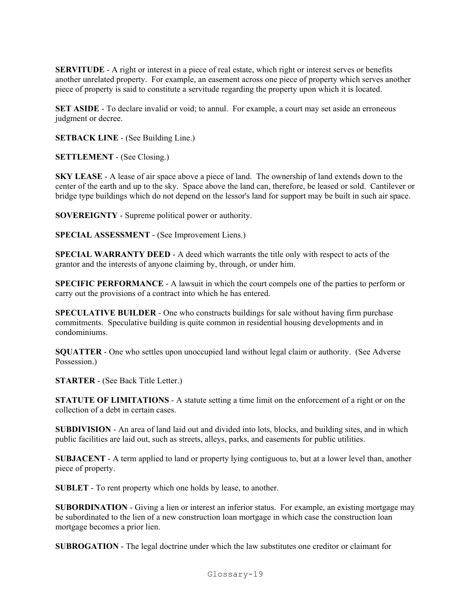**SERVITUDE** - A right or interest in a piece of real estate, which right or interest serves or benefits another unrelated property. For example, an easement across one piece of property which serves another piece of property is said to constitute a servitude regarding the property upon which it is located.

**SET ASIDE** - To declare invalid or void; to annul. For example, a court may set aside an erroneous judgment or decree.

**SETBACK LINE** - (See Building Line.)

**SETTLEMENT** - (See Closing.)

**SKY LEASE** - A lease of air space above a piece of land. The ownership of land extends down to the center of the earth and up to the sky. Space above the land can, therefore, be leased or sold. Cantilever or bridge type buildings which do not depend on the lessor's land for support may be built in such air space.

**SOVEREIGNTY** - Supreme political power or authority.

**SPECIAL ASSESSMENT** - (See Improvement Liens.)

**SPECIAL WARRANTY DEED** - A deed which warrants the title only with respect to acts of the grantor and the interests of anyone claiming by, through, or under him.

**SPECIFIC PERFORMANCE** - A lawsuit in which the court compels one of the parties to perform or carry out the provisions of a contract into which he has entered.

**SPECULATIVE BUILDER** - One who constructs buildings for sale without having firm purchase commitments. Speculative building is quite common in residential housing developments and in condominiums.

**SQUATTER** - One who settles upon unoccupied land without legal claim or authority. (See Adverse Possession.)

**STARTER** - (See Back Title Letter.)

**STATUTE OF LIMITATIONS** - A statute setting a time limit on the enforcement of a right or on the collection of a debt in certain cases.

**SUBDIVISION** - An area of land laid out and divided into lots, blocks, and building sites, and in which public facilities are laid out, such as streets, alleys, parks, and easements for public utilities.

**SUBJACENT** - A term applied to land or property lying contiguous to, but at a lower level than, another piece of property.

**SUBLET** - To rent property which one holds by lease, to another.

**SUBORDINATION** - Giving a lien or interest an inferior status. For example, an existing mortgage may be subordinated to the lien of a new construction loan mortgage in which case the construction loan mortgage becomes a prior lien.

**SUBROGATION** - The legal doctrine under which the law substitutes one creditor or claimant for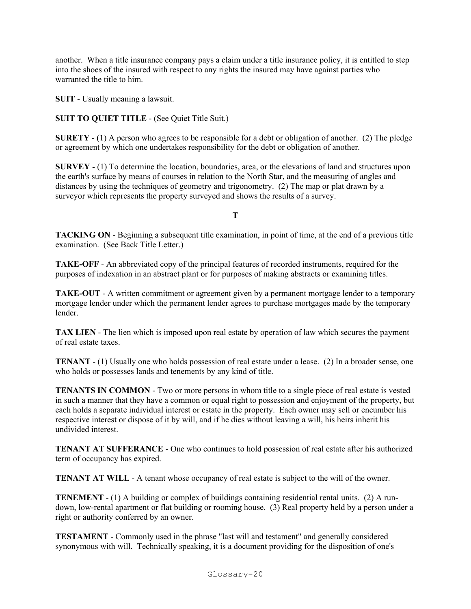another. When a title insurance company pays a claim under a title insurance policy, it is entitled to step into the shoes of the insured with respect to any rights the insured may have against parties who warranted the title to him.

**SUIT** - Usually meaning a lawsuit.

**SUIT TO QUIET TITLE** - (See Quiet Title Suit.)

**SURETY** - (1) A person who agrees to be responsible for a debt or obligation of another. (2) The pledge or agreement by which one undertakes responsibility for the debt or obligation of another.

**SURVEY** - (1) To determine the location, boundaries, area, or the elevations of land and structures upon the earth's surface by means of courses in relation to the North Star, and the measuring of angles and distances by using the techniques of geometry and trigonometry. (2) The map or plat drawn by a surveyor which represents the property surveyed and shows the results of a survey.

**T**

**TACKING ON** - Beginning a subsequent title examination, in point of time, at the end of a previous title examination. (See Back Title Letter.)

**TAKE-OFF** - An abbreviated copy of the principal features of recorded instruments, required for the purposes of indexation in an abstract plant or for purposes of making abstracts or examining titles.

**TAKE-OUT** - A written commitment or agreement given by a permanent mortgage lender to a temporary mortgage lender under which the permanent lender agrees to purchase mortgages made by the temporary lender.

**TAX LIEN** - The lien which is imposed upon real estate by operation of law which secures the payment of real estate taxes.

**TENANT** - (1) Usually one who holds possession of real estate under a lease. (2) In a broader sense, one who holds or possesses lands and tenements by any kind of title.

**TENANTS IN COMMON** - Two or more persons in whom title to a single piece of real estate is vested in such a manner that they have a common or equal right to possession and enjoyment of the property, but each holds a separate individual interest or estate in the property. Each owner may sell or encumber his respective interest or dispose of it by will, and if he dies without leaving a will, his heirs inherit his undivided interest.

**TENANT AT SUFFERANCE** - One who continues to hold possession of real estate after his authorized term of occupancy has expired.

**TENANT AT WILL** - A tenant whose occupancy of real estate is subject to the will of the owner.

**TENEMENT** - (1) A building or complex of buildings containing residential rental units. (2) A rundown, low-rental apartment or flat building or rooming house. (3) Real property held by a person under a right or authority conferred by an owner.

**TESTAMENT** - Commonly used in the phrase "last will and testament" and generally considered synonymous with will. Technically speaking, it is a document providing for the disposition of one's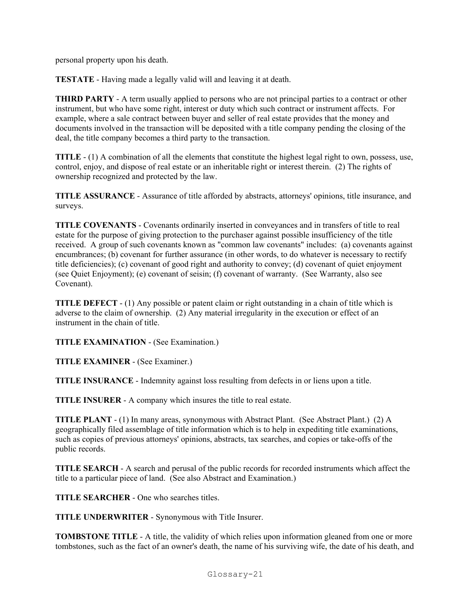personal property upon his death.

**TESTATE** - Having made a legally valid will and leaving it at death.

**THIRD PARTY** - A term usually applied to persons who are not principal parties to a contract or other instrument, but who have some right, interest or duty which such contract or instrument affects. For example, where a sale contract between buyer and seller of real estate provides that the money and documents involved in the transaction will be deposited with a title company pending the closing of the deal, the title company becomes a third party to the transaction.

**TITLE** - (1) A combination of all the elements that constitute the highest legal right to own, possess, use, control, enjoy, and dispose of real estate or an inheritable right or interest therein. (2) The rights of ownership recognized and protected by the law.

**TITLE ASSURANCE** - Assurance of title afforded by abstracts, attorneys' opinions, title insurance, and surveys.

**TITLE COVENANTS** - Covenants ordinarily inserted in conveyances and in transfers of title to real estate for the purpose of giving protection to the purchaser against possible insufficiency of the title received. A group of such covenants known as "common law covenants" includes: (a) covenants against encumbrances; (b) covenant for further assurance (in other words, to do whatever is necessary to rectify title deficiencies); (c) covenant of good right and authority to convey; (d) covenant of quiet enjoyment (see Quiet Enjoyment); (e) covenant of seisin; (f) covenant of warranty. (See Warranty, also see Covenant).

**TITLE DEFECT** - (1) Any possible or patent claim or right outstanding in a chain of title which is adverse to the claim of ownership. (2) Any material irregularity in the execution or effect of an instrument in the chain of title.

**TITLE EXAMINATION** - (See Examination.)

**TITLE EXAMINER** - (See Examiner.)

**TITLE INSURANCE** - Indemnity against loss resulting from defects in or liens upon a title.

**TITLE INSURER** - A company which insures the title to real estate.

**TITLE PLANT** - (1) In many areas, synonymous with Abstract Plant. (See Abstract Plant.) (2) A geographically filed assemblage of title information which is to help in expediting title examinations, such as copies of previous attorneys' opinions, abstracts, tax searches, and copies or take-offs of the public records.

**TITLE SEARCH** - A search and perusal of the public records for recorded instruments which affect the title to a particular piece of land. (See also Abstract and Examination.)

**TITLE SEARCHER** - One who searches titles.

**TITLE UNDERWRITER** - Synonymous with Title Insurer.

**TOMBSTONE TITLE** - A title, the validity of which relies upon information gleaned from one or more tombstones, such as the fact of an owner's death, the name of his surviving wife, the date of his death, and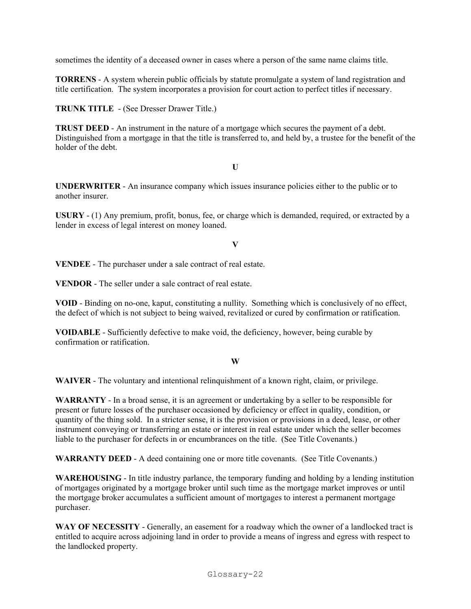sometimes the identity of a deceased owner in cases where a person of the same name claims title.

**TORRENS** - A system wherein public officials by statute promulgate a system of land registration and title certification. The system incorporates a provision for court action to perfect titles if necessary.

**TRUNK TITLE** - (See Dresser Drawer Title.)

**TRUST DEED** - An instrument in the nature of a mortgage which secures the payment of a debt. Distinguished from a mortgage in that the title is transferred to, and held by, a trustee for the benefit of the holder of the debt.

**U**

**UNDERWRITER** - An insurance company which issues insurance policies either to the public or to another insurer.

**USURY** - (1) Any premium, profit, bonus, fee, or charge which is demanded, required, or extracted by a lender in excess of legal interest on money loaned.

**V**

**VENDEE** - The purchaser under a sale contract of real estate.

**VENDOR** - The seller under a sale contract of real estate.

**VOID** - Binding on no-one, kaput, constituting a nullity. Something which is conclusively of no effect, the defect of which is not subject to being waived, revitalized or cured by confirmation or ratification.

**VOIDABLE** - Sufficiently defective to make void, the deficiency, however, being curable by confirmation or ratification.

#### **W**

**WAIVER** - The voluntary and intentional relinquishment of a known right, claim, or privilege.

**WARRANTY** - In a broad sense, it is an agreement or undertaking by a seller to be responsible for present or future losses of the purchaser occasioned by deficiency or effect in quality, condition, or quantity of the thing sold. In a stricter sense, it is the provision or provisions in a deed, lease, or other instrument conveying or transferring an estate or interest in real estate under which the seller becomes liable to the purchaser for defects in or encumbrances on the title. (See Title Covenants.)

**WARRANTY DEED** - A deed containing one or more title covenants. (See Title Covenants.)

**WAREHOUSING** - In title industry parlance, the temporary funding and holding by a lending institution of mortgages originated by a mortgage broker until such time as the mortgage market improves or until the mortgage broker accumulates a sufficient amount of mortgages to interest a permanent mortgage purchaser.

**WAY OF NECESSITY** - Generally, an easement for a roadway which the owner of a landlocked tract is entitled to acquire across adjoining land in order to provide a means of ingress and egress with respect to the landlocked property.